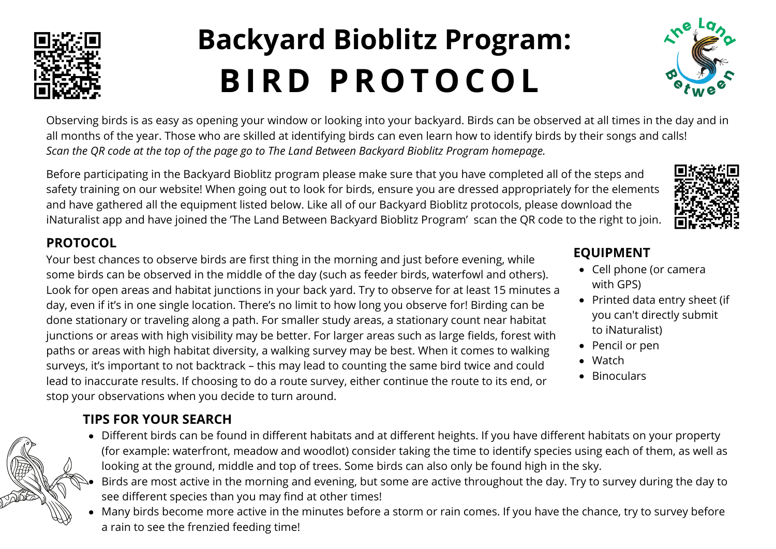

# **Backyard Bioblitz Program: BIR D PROTOCOL**



Observing birds is as easy as opening your window or looking into your backyard. Birds can be observed at all times in the day and in all months of the year. Those who are skilled at identifying birds can even learn how to identify birds by their songs and calls! Scan the QR code at the top of the page go to The Land Between Backyard Bioblitz Program homepage.

Before participating in the Backyard Bioblitz program please make sure that you have completed all of the steps and safety training on our website! When going out to look for birds, ensure you are dressed appropriately for the elements and have gathered all the equipment listed below. Like all of our Backyard Bioblitz protocols, please download the iNaturalist app and have joined the 'The Land Between Backyard Bioblitz Program' scan the QR code to the right to join.

#### **PROTOCOL**

Your best chances to observe birds are first thing in the morning and just before evening, while some birds can be observed in the middle of the day (such as feeder birds, waterfowl and others). Look for open areas and habitat junctions in your back yard. Try to observe for at least 15 minutes a day, even if it's in one single location. There's no limit to how long you observe for! Birding can be done stationary or traveling along a path. For smaller study areas, a stationary count near habitat junctions or areas with high visibility may be better. For larger areas such as large fields, forest with paths or areas with high habitat diversity, a walking survey may be best. When it comes to walking surveys, it's important to not backtrack – this may lead to counting the same bird twice and could lead to inaccurate results. If choosing to do a route survey, either continue the route to its end, or stop your observations when you decide to turn around.

#### **TIPS FOR YOUR SEARCH**

- Different birds can be found in different habitats and at different heights. If you have different habitats on your property (for example: waterfront, meadow and woodlot) consider taking the time to identify species using each of them, as well as looking at the ground, middle and top of trees. Some birds can also only be found high in the sky.
- Birds are most active in the morning and evening, but some are active throughout the day. Try to survey during the day to see different species than you may find at other times!
- Many birds become more active in the minutes before a storm or rain comes. If you have the chance, try to survey before a rain to see the frenzied feeding time!

### **EQUIPMENT**

- Cell phone (or camera with GPS)
- Printed data entry sheet (if you can't directly submit to iNaturalist)
- Pencil or pen
- Watch
- Binoculars